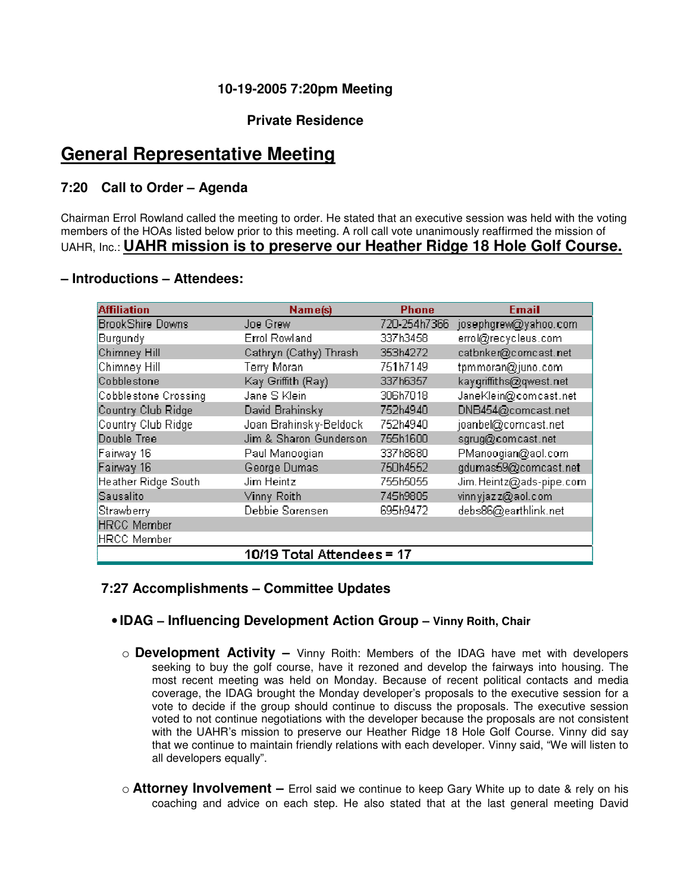# **10-19-2005 7:20pm Meeting**

# **Private Residence**

# **General Representative Meeting**

# **7:20 Call to Order – Agenda**

Chairman Errol Rowland called the meeting to order. He stated that an executive session was held with the voting members of the HOAs listed below prior to this meeting. A roll call vote unanimously reaffirmed the mission of UAHR, Inc.: **UAHR mission is to preserve our Heather Ridge 18 Hole Golf Course.** 

### **– Introductions – Attendees:**

| <b>Affiliation</b>      | Name(s)                    | <b>Phone</b> | <b>Email</b>             |
|-------------------------|----------------------------|--------------|--------------------------|
| <b>BrookShire Downs</b> | Joe Grew                   | 720-254h7366 | josephgrew@yahoo.com     |
| Burgundy                | <b>Errol Rowland</b>       | 337h3458     | errol@recycleus.com      |
| Chimney Hill            | Cathryn (Cathy) Thrash     | 353h4272     | catbnker@comcast.net     |
| Chimney Hill            | Terry Moran                | 751h7149     | tpmmoran@juno.com        |
| Cobblestone             | Kay Griffith (Ray)         | 337h6357     | kaygriffiths@qwest.net   |
| Cobblestone Crossing    | Jane S Klein               | 306h7018     | JaneKlein@comcast.net    |
| Country Club Ridge      | David Brahinsky            | 752h4940     | DNB454@comcast.net       |
| Country Club Ridge      | Joan Brahinsky-Beldock     | 752h4940     | joanbel@comcast.net      |
| Double Tree             | Jim & Sharon Gunderson     | 755h1600     | sgrug@comcast.net        |
| Fairway 16              | Paul Manoogian             | 337h8680     | PManoogian@aol.com       |
| Fairway 16              | George Dumas               | 750h4552     | gdumas59@comcast.net     |
| Heather Ridge South     | Jim Heintz                 | 755h5055     | Jim. Heintz@ads-pipe.com |
| Sausalito               | Vinny Roith                | 745h9805     | vinnyjazz@aol.com        |
| Strawberry              | Debbie Sorensen            | 695h9472     | debs86@earthlink.net     |
| <b>HRCC</b> Member      |                            |              |                          |
| <b>HRCC Member</b>      |                            |              |                          |
|                         | 10/19 Total Attendees = 17 |              |                          |

### **7:27 Accomplishments – Committee Updates**

# • **IDAG – Influencing Development Action Group – Vinny Roith, Chair**

- o **Development Activity** Vinny Roith: Members of the IDAG have met with developers seeking to buy the golf course, have it rezoned and develop the fairways into housing. The most recent meeting was held on Monday. Because of recent political contacts and media coverage, the IDAG brought the Monday developer's proposals to the executive session for a vote to decide if the group should continue to discuss the proposals. The executive session voted to not continue negotiations with the developer because the proposals are not consistent with the UAHR's mission to preserve our Heather Ridge 18 Hole Golf Course. Vinny did say that we continue to maintain friendly relations with each developer. Vinny said, "We will listen to all developers equally".
- o **Attorney Involvement** Errol said we continue to keep Gary White up to date & rely on his coaching and advice on each step. He also stated that at the last general meeting David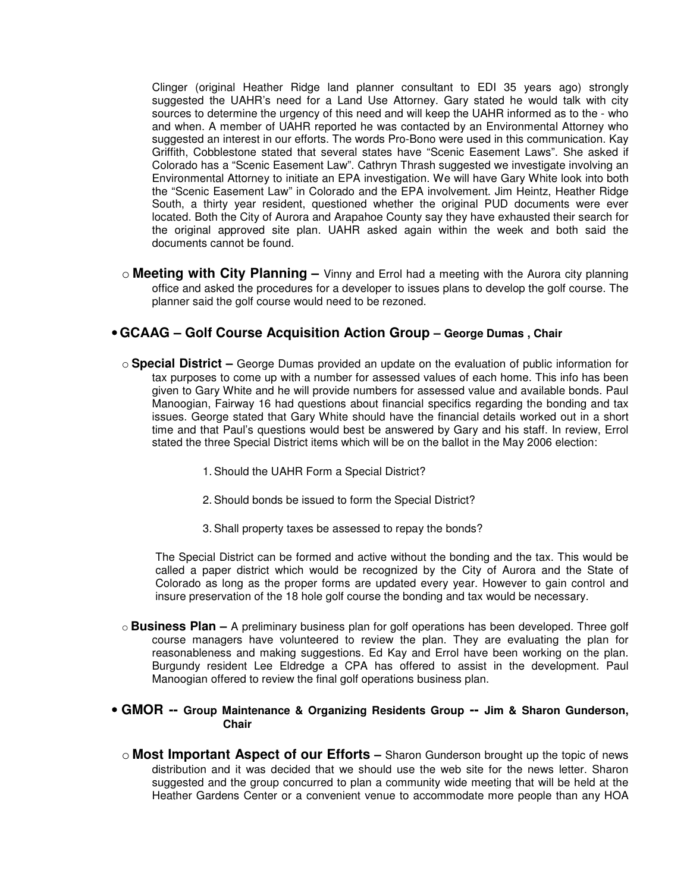Clinger (original Heather Ridge land planner consultant to EDI 35 years ago) strongly suggested the UAHR's need for a Land Use Attorney. Gary stated he would talk with city sources to determine the urgency of this need and will keep the UAHR informed as to the - who and when. A member of UAHR reported he was contacted by an Environmental Attorney who suggested an interest in our efforts. The words Pro-Bono were used in this communication. Kay Griffith, Cobblestone stated that several states have "Scenic Easement Laws". She asked if Colorado has a "Scenic Easement Law". Cathryn Thrash suggested we investigate involving an Environmental Attorney to initiate an EPA investigation. We will have Gary White look into both the "Scenic Easement Law" in Colorado and the EPA involvement. Jim Heintz, Heather Ridge South, a thirty year resident, questioned whether the original PUD documents were ever located. Both the City of Aurora and Arapahoe County say they have exhausted their search for the original approved site plan. UAHR asked again within the week and both said the documents cannot be found.

o **Meeting with City Planning –** Vinny and Errol had a meeting with the Aurora city planning office and asked the procedures for a developer to issues plans to develop the golf course. The planner said the golf course would need to be rezoned.

### •**GCAAG – Golf Course Acquisition Action Group – George Dumas , Chair**

- o **Special District** George Dumas provided an update on the evaluation of public information for tax purposes to come up with a number for assessed values of each home. This info has been given to Gary White and he will provide numbers for assessed value and available bonds. Paul Manoogian, Fairway 16 had questions about financial specifics regarding the bonding and tax issues. George stated that Gary White should have the financial details worked out in a short time and that Paul's questions would best be answered by Gary and his staff. In review, Errol stated the three Special District items which will be on the ballot in the May 2006 election:
	- 1. Should the UAHR Form a Special District?
	- 2. Should bonds be issued to form the Special District?
	- 3. Shall property taxes be assessed to repay the bonds?

The Special District can be formed and active without the bonding and the tax. This would be called a paper district which would be recognized by the City of Aurora and the State of Colorado as long as the proper forms are updated every year. However to gain control and insure preservation of the 18 hole golf course the bonding and tax would be necessary.

o **Business Plan –** A preliminary business plan for golf operations has been developed. Three golf course managers have volunteered to review the plan. They are evaluating the plan for reasonableness and making suggestions. Ed Kay and Errol have been working on the plan. Burgundy resident Lee Eldredge a CPA has offered to assist in the development. Paul Manoogian offered to review the final golf operations business plan.

#### • **GMOR -- Group Maintenance & Organizing Residents Group -- Jim & Sharon Gunderson, Chair**

o **Most Important Aspect of our Efforts –** Sharon Gunderson brought up the topic of news distribution and it was decided that we should use the web site for the news letter. Sharon suggested and the group concurred to plan a community wide meeting that will be held at the Heather Gardens Center or a convenient venue to accommodate more people than any HOA